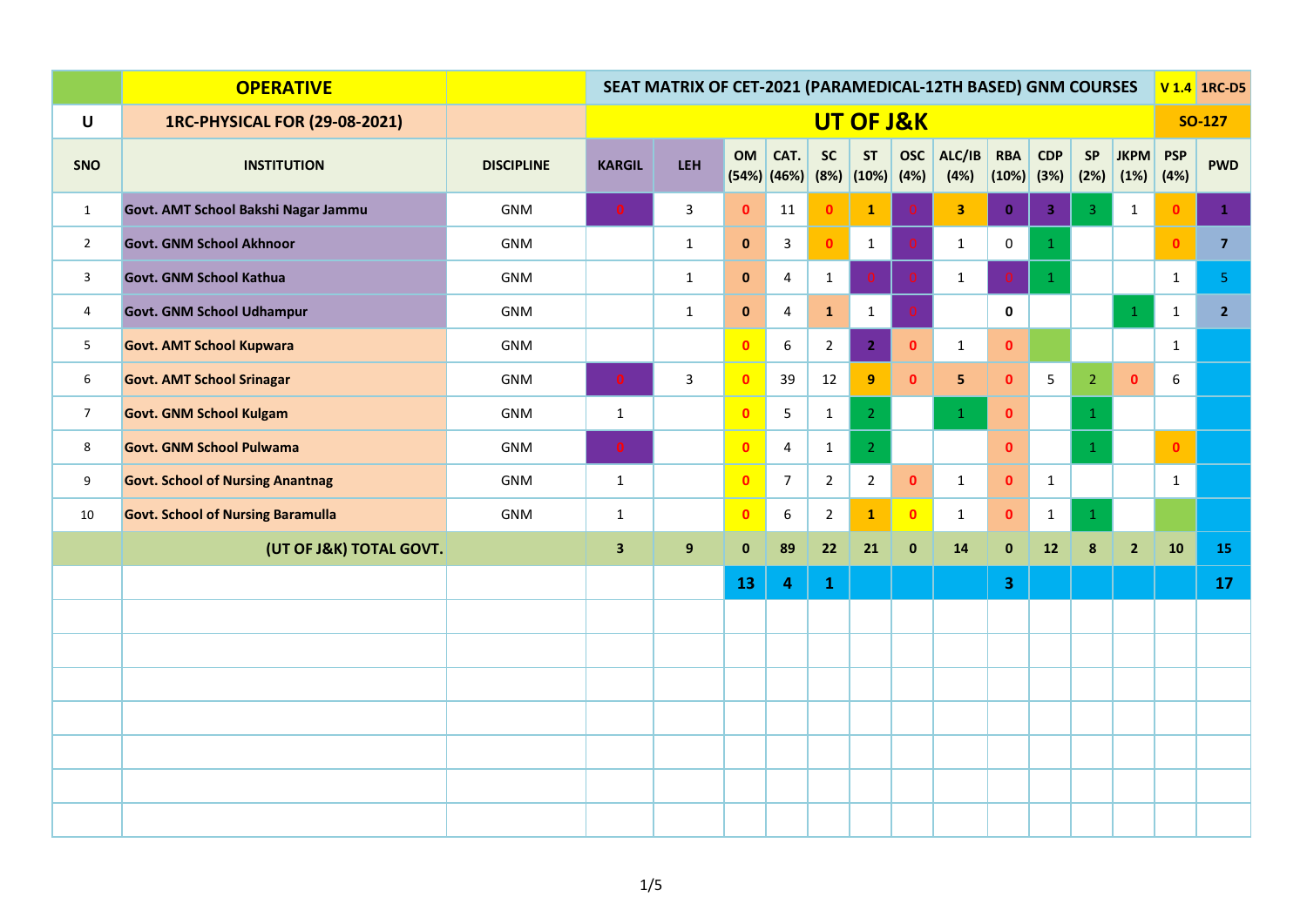|                | <b>OPERATIVE</b>                         |                   | SEAT MATRIX OF CET-2021 (PARAMEDICAL-12TH BASED) GNM COURSES |                |              |                         |                |                                    |                |                         |                         |                         |                |                     |                    | V 1.4 1RC-D5   |
|----------------|------------------------------------------|-------------------|--------------------------------------------------------------|----------------|--------------|-------------------------|----------------|------------------------------------|----------------|-------------------------|-------------------------|-------------------------|----------------|---------------------|--------------------|----------------|
| $\mathsf{U}$   | <b>1RC-PHYSICAL FOR (29-08-2021)</b>     |                   | UT OF J&K                                                    |                |              |                         |                |                                    |                |                         |                         |                         |                |                     |                    | <b>SO-127</b>  |
| SNO            | <b>INSTITUTION</b>                       | <b>DISCIPLINE</b> | <b>KARGIL</b>                                                | LEH            | OM           | CAT.<br>(54%) (46%)     | <b>SC</b>      | <b>ST</b><br>$(8%)$ $(10%)$ $(4%)$ | <b>OSC</b>     | ALC/IB<br>(4%)          | <b>RBA</b><br>(10%)     | CDP<br>(3%)             | SP<br>(2%)     | <b>JKPM</b><br>(1%) | <b>PSP</b><br>(4%) | <b>PWD</b>     |
| $\mathbf{1}$   | Govt. AMT School Bakshi Nagar Jammu      | <b>GNM</b>        | $\bullet$                                                    | $\mathbf{3}$   | $\bullet$    | 11                      | $\mathbf{0}$   | $\mathbf{1}$                       | $\Omega$       | $\overline{\mathbf{3}}$ | $\mathbf{0}$            | $\overline{\mathbf{3}}$ | 3 <sup>°</sup> | $\mathbf{1}$        | $\mathbf{0}$       | $\mathbf{1}$   |
| $\overline{2}$ | <b>Govt. GNM School Akhnoor</b>          | GNM               |                                                              | $\mathbf{1}$   | $\mathbf{0}$ | $\mathbf{3}$            | $\mathbf{0}$   | $\mathbf{1}$                       | $\Omega$       | $\mathbf{1}$            | $\mathbf 0$             | $\mathbf{1}$            |                |                     | $\mathbf{0}$       | 7 <sup>7</sup> |
| $\mathbf{3}$   | Govt. GNM School Kathua                  | GNM               |                                                              | $\mathbf{1}$   | $\mathbf{0}$ | $\overline{4}$          | $\mathbf{1}$   | $\mathbf{0}$                       | $\overline{0}$ | $\mathbf{1}$            |                         | $\mathbf{1}$            |                |                     | $\mathbf{1}$       | 5 <sup>1</sup> |
| $\overline{4}$ | <b>Govt. GNM School Udhampur</b>         | GNM               |                                                              | $\mathbf{1}$   | $\mathbf 0$  | 4                       | $\mathbf 1$    | $\mathbf{1}$                       | $\Omega$       |                         | $\mathbf 0$             |                         |                | $\mathbf{1}$        | $\mathbf{1}$       | 2 <sup>7</sup> |
| 5              | <b>Govt. AMT School Kupwara</b>          | <b>GNM</b>        |                                                              |                | $\mathbf{0}$ | $6\phantom{.}$          | $\overline{2}$ | $\overline{2}$                     | $\mathbf 0$    | $\mathbf{1}$            | $\pmb{0}$               |                         |                |                     | $\mathbf{1}$       |                |
| 6              | <b>Govt. AMT School Srinagar</b>         | GNM               | $\bullet$                                                    | $\mathbf{3}$   | $\mathbf{0}$ | 39                      | 12             | 9                                  | $\mathbf{0}$   | $5\phantom{.0}$         | $\mathbf{0}$            | 5 <sub>1</sub>          | 2 <sup>1</sup> | $\bullet$           | 6                  |                |
| $\overline{7}$ | <b>Govt. GNM School Kulgam</b>           | GNM               | 1                                                            |                | $\mathbf{0}$ | 5                       | $\mathbf{1}$   | 2 <sup>1</sup>                     |                | $\mathbf{1}$            | $\bullet$               |                         | $\mathbf{1}$   |                     |                    |                |
| 8              | <b>Govt. GNM School Pulwama</b>          | <b>GNM</b>        | $\bullet$                                                    |                | $\mathbf{0}$ | $\overline{4}$          | $\mathbf{1}$   | 2 <sup>1</sup>                     |                |                         | $\bullet$               |                         | 1              |                     | $\bullet$          |                |
| 9              | <b>Govt. School of Nursing Anantnag</b>  | GNM               | $\mathbf{1}$                                                 |                | $\bullet$    | 7 <sup>7</sup>          | $\overline{2}$ | $\overline{2}$                     | $\mathbf{0}$   | $\mathbf{1}$            | $\bullet$               | $\mathbf{1}$            |                |                     | $\mathbf{1}$       |                |
| $10\,$         | <b>Govt. School of Nursing Baramulla</b> | GNM               | $\mathbf{1}$                                                 |                | $\mathbf{0}$ | 6                       | $\overline{2}$ | $\mathbf{1}$                       | $\mathbf{0}$   | $\mathbf{1}$            | $\mathbf{0}$            | $\mathbf{1}$            | $\mathbf{1}$   |                     |                    |                |
|                | (UT OF J&K) TOTAL GOVT.                  |                   | $\overline{\mathbf{3}}$                                      | 9 <sup>°</sup> | $\pmb{0}$    | 89                      | 22             | 21                                 | $\bf{0}$       | 14                      | $\mathbf 0$             | ${\bf 12}$              | $\bf 8$        | $\overline{2}$      | 10                 | 15             |
|                |                                          |                   |                                                              |                | 13           | $\overline{\mathbf{4}}$ | $\mathbf 1$    |                                    |                |                         | $\overline{\mathbf{3}}$ |                         |                |                     |                    | 17             |
|                |                                          |                   |                                                              |                |              |                         |                |                                    |                |                         |                         |                         |                |                     |                    |                |
|                |                                          |                   |                                                              |                |              |                         |                |                                    |                |                         |                         |                         |                |                     |                    |                |
|                |                                          |                   |                                                              |                |              |                         |                |                                    |                |                         |                         |                         |                |                     |                    |                |
|                |                                          |                   |                                                              |                |              |                         |                |                                    |                |                         |                         |                         |                |                     |                    |                |
|                |                                          |                   |                                                              |                |              |                         |                |                                    |                |                         |                         |                         |                |                     |                    |                |
|                |                                          |                   |                                                              |                |              |                         |                |                                    |                |                         |                         |                         |                |                     |                    |                |
|                |                                          |                   |                                                              |                |              |                         |                |                                    |                |                         |                         |                         |                |                     |                    |                |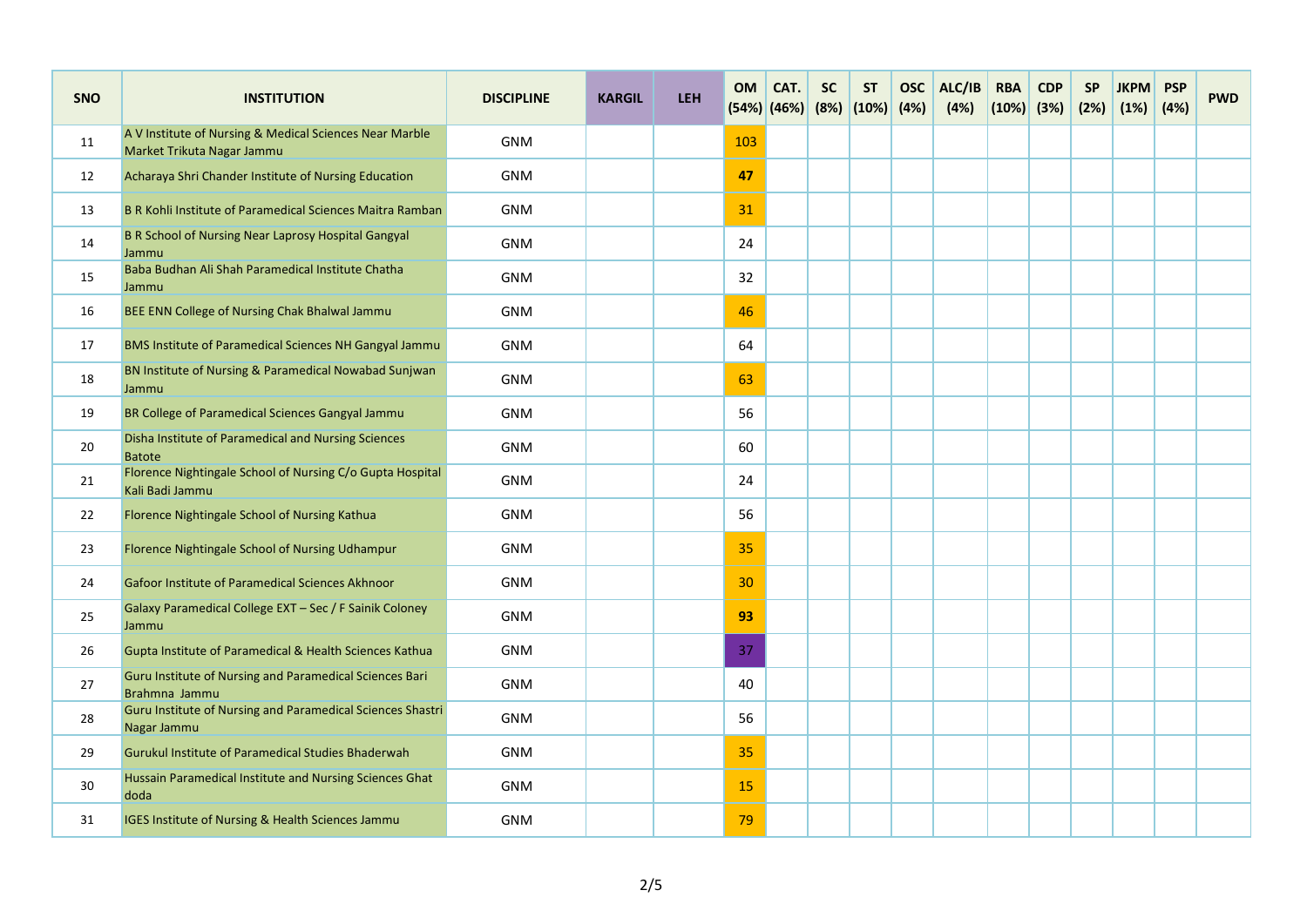| <b>SNO</b> | <b>INSTITUTION</b>                                                                    | <b>DISCIPLINE</b> | <b>KARGIL</b> | <b>LEH</b> | <b>OM</b>       | CAT.<br>$(54%)$ (46%) | <b>SC</b> | <b>ST</b><br>$(8%)$ $(10%)$ | <b>OSC</b><br>(4%) | ALC/IB<br>(4%) | <b>RBA</b><br>$(10%)$ (3%) | <b>CDP</b> | <b>SP</b><br>(2%) | <b>JKPM</b><br>(1%) | <b>PSP</b><br>(4%) | <b>PWD</b> |
|------------|---------------------------------------------------------------------------------------|-------------------|---------------|------------|-----------------|-----------------------|-----------|-----------------------------|--------------------|----------------|----------------------------|------------|-------------------|---------------------|--------------------|------------|
| 11         | A V Institute of Nursing & Medical Sciences Near Marble<br>Market Trikuta Nagar Jammu | <b>GNM</b>        |               |            | 103             |                       |           |                             |                    |                |                            |            |                   |                     |                    |            |
| 12         | Acharaya Shri Chander Institute of Nursing Education                                  | <b>GNM</b>        |               |            | 47              |                       |           |                             |                    |                |                            |            |                   |                     |                    |            |
| 13         | B R Kohli Institute of Paramedical Sciences Maitra Ramban                             | <b>GNM</b>        |               |            | 31              |                       |           |                             |                    |                |                            |            |                   |                     |                    |            |
| 14         | B R School of Nursing Near Laprosy Hospital Gangyal<br>Jammu                          | <b>GNM</b>        |               |            | 24              |                       |           |                             |                    |                |                            |            |                   |                     |                    |            |
| 15         | Baba Budhan Ali Shah Paramedical Institute Chatha<br>Jammu                            | <b>GNM</b>        |               |            | 32              |                       |           |                             |                    |                |                            |            |                   |                     |                    |            |
| 16         | BEE ENN College of Nursing Chak Bhalwal Jammu                                         | <b>GNM</b>        |               |            | 46              |                       |           |                             |                    |                |                            |            |                   |                     |                    |            |
| 17         | BMS Institute of Paramedical Sciences NH Gangyal Jammu                                | <b>GNM</b>        |               |            | 64              |                       |           |                             |                    |                |                            |            |                   |                     |                    |            |
| 18         | BN Institute of Nursing & Paramedical Nowabad Sunjwan<br>Jammu                        | <b>GNM</b>        |               |            | 63              |                       |           |                             |                    |                |                            |            |                   |                     |                    |            |
| 19         | BR College of Paramedical Sciences Gangyal Jammu                                      | <b>GNM</b>        |               |            | 56              |                       |           |                             |                    |                |                            |            |                   |                     |                    |            |
| 20         | Disha Institute of Paramedical and Nursing Sciences<br><b>Batote</b>                  | <b>GNM</b>        |               |            | 60              |                       |           |                             |                    |                |                            |            |                   |                     |                    |            |
| 21         | Florence Nightingale School of Nursing C/o Gupta Hospital<br>Kali Badi Jammu          | <b>GNM</b>        |               |            | 24              |                       |           |                             |                    |                |                            |            |                   |                     |                    |            |
| 22         | Florence Nightingale School of Nursing Kathua                                         | <b>GNM</b>        |               |            | 56              |                       |           |                             |                    |                |                            |            |                   |                     |                    |            |
| 23         | Florence Nightingale School of Nursing Udhampur                                       | <b>GNM</b>        |               |            | 35              |                       |           |                             |                    |                |                            |            |                   |                     |                    |            |
| 24         | Gafoor Institute of Paramedical Sciences Akhnoor                                      | <b>GNM</b>        |               |            | 30 <sup>°</sup> |                       |           |                             |                    |                |                            |            |                   |                     |                    |            |
| 25         | Galaxy Paramedical College EXT - Sec / F Sainik Coloney<br>Jammu                      | <b>GNM</b>        |               |            | 93              |                       |           |                             |                    |                |                            |            |                   |                     |                    |            |
| 26         | Gupta Institute of Paramedical & Health Sciences Kathua                               | <b>GNM</b>        |               |            | 37              |                       |           |                             |                    |                |                            |            |                   |                     |                    |            |
| 27         | Guru Institute of Nursing and Paramedical Sciences Bari<br>Brahmna Jammu              | <b>GNM</b>        |               |            | 40              |                       |           |                             |                    |                |                            |            |                   |                     |                    |            |
| 28         | Guru Institute of Nursing and Paramedical Sciences Shastri<br>Nagar Jammu             | <b>GNM</b>        |               |            | 56              |                       |           |                             |                    |                |                            |            |                   |                     |                    |            |
| 29         | Gurukul Institute of Paramedical Studies Bhaderwah                                    | <b>GNM</b>        |               |            | 35              |                       |           |                             |                    |                |                            |            |                   |                     |                    |            |
| 30         | Hussain Paramedical Institute and Nursing Sciences Ghat<br>doda                       | <b>GNM</b>        |               |            | 15              |                       |           |                             |                    |                |                            |            |                   |                     |                    |            |
| 31         | IGES Institute of Nursing & Health Sciences Jammu                                     | <b>GNM</b>        |               |            | 79              |                       |           |                             |                    |                |                            |            |                   |                     |                    |            |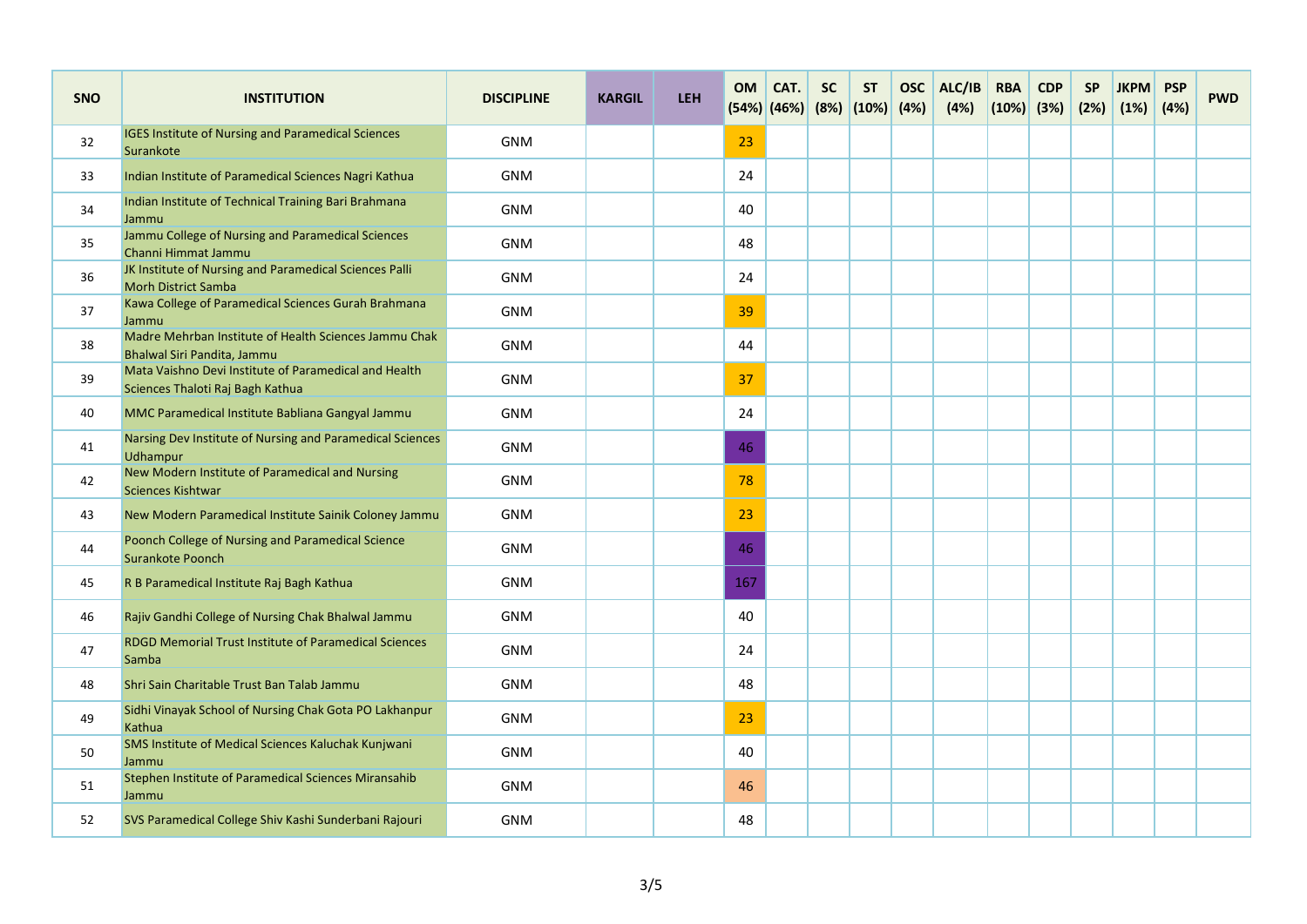| <b>SNO</b> | <b>INSTITUTION</b>                                                                        | <b>DISCIPLINE</b> | <b>KARGIL</b> | <b>LEH</b> | <b>OM</b> | CAT.<br>$(54%)$ (46%) | <b>SC</b> | <b>ST</b><br>$(8%)$ $(10%)$ | <b>OSC</b><br>(4%) | ALC/IB<br>(4%) | <b>RBA</b><br>$(10%)$ (3%) | <b>CDP</b> | <b>SP</b><br>(2%) | <b>JKPM</b><br>(1%) | <b>PSP</b><br>(4%) | <b>PWD</b> |
|------------|-------------------------------------------------------------------------------------------|-------------------|---------------|------------|-----------|-----------------------|-----------|-----------------------------|--------------------|----------------|----------------------------|------------|-------------------|---------------------|--------------------|------------|
| 32         | <b>IGES Institute of Nursing and Paramedical Sciences</b><br>Surankote                    | <b>GNM</b>        |               |            | 23        |                       |           |                             |                    |                |                            |            |                   |                     |                    |            |
| 33         | Indian Institute of Paramedical Sciences Nagri Kathua                                     | <b>GNM</b>        |               |            | 24        |                       |           |                             |                    |                |                            |            |                   |                     |                    |            |
| 34         | Indian Institute of Technical Training Bari Brahmana<br>Jammu                             | <b>GNM</b>        |               |            | 40        |                       |           |                             |                    |                |                            |            |                   |                     |                    |            |
| 35         | Jammu College of Nursing and Paramedical Sciences<br>Channi Himmat Jammu                  | <b>GNM</b>        |               |            | 48        |                       |           |                             |                    |                |                            |            |                   |                     |                    |            |
| 36         | JK Institute of Nursing and Paramedical Sciences Palli<br><b>Morh District Samba</b>      | <b>GNM</b>        |               |            | 24        |                       |           |                             |                    |                |                            |            |                   |                     |                    |            |
| 37         | Kawa College of Paramedical Sciences Gurah Brahmana<br>Jammu                              | <b>GNM</b>        |               |            | 39        |                       |           |                             |                    |                |                            |            |                   |                     |                    |            |
| 38         | Madre Mehrban Institute of Health Sciences Jammu Chak<br>Bhalwal Siri Pandita, Jammu      | <b>GNM</b>        |               |            | 44        |                       |           |                             |                    |                |                            |            |                   |                     |                    |            |
| 39         | Mata Vaishno Devi Institute of Paramedical and Health<br>Sciences Thaloti Raj Bagh Kathua | <b>GNM</b>        |               |            | 37        |                       |           |                             |                    |                |                            |            |                   |                     |                    |            |
| 40         | MMC Paramedical Institute Babliana Gangyal Jammu                                          | <b>GNM</b>        |               |            | 24        |                       |           |                             |                    |                |                            |            |                   |                     |                    |            |
| 41         | Narsing Dev Institute of Nursing and Paramedical Sciences<br>Udhampur                     | <b>GNM</b>        |               |            | 46        |                       |           |                             |                    |                |                            |            |                   |                     |                    |            |
| 42         | New Modern Institute of Paramedical and Nursing<br><b>Sciences Kishtwar</b>               | <b>GNM</b>        |               |            | 78        |                       |           |                             |                    |                |                            |            |                   |                     |                    |            |
| 43         | New Modern Paramedical Institute Sainik Coloney Jammu                                     | <b>GNM</b>        |               |            | 23        |                       |           |                             |                    |                |                            |            |                   |                     |                    |            |
| 44         | Poonch College of Nursing and Paramedical Science<br><b>Surankote Poonch</b>              | <b>GNM</b>        |               |            | 46        |                       |           |                             |                    |                |                            |            |                   |                     |                    |            |
| 45         | R B Paramedical Institute Raj Bagh Kathua                                                 | <b>GNM</b>        |               |            | 167       |                       |           |                             |                    |                |                            |            |                   |                     |                    |            |
| 46         | Rajiv Gandhi College of Nursing Chak Bhalwal Jammu                                        | <b>GNM</b>        |               |            | 40        |                       |           |                             |                    |                |                            |            |                   |                     |                    |            |
| 47         | <b>RDGD Memorial Trust Institute of Paramedical Sciences</b><br>Samba                     | <b>GNM</b>        |               |            | 24        |                       |           |                             |                    |                |                            |            |                   |                     |                    |            |
| 48         | Shri Sain Charitable Trust Ban Talab Jammu                                                | <b>GNM</b>        |               |            | 48        |                       |           |                             |                    |                |                            |            |                   |                     |                    |            |
| 49         | Sidhi Vinayak School of Nursing Chak Gota PO Lakhanpur<br>Kathua                          | <b>GNM</b>        |               |            | 23        |                       |           |                             |                    |                |                            |            |                   |                     |                    |            |
| 50         | SMS Institute of Medical Sciences Kaluchak Kunjwani<br>Jammu                              | <b>GNM</b>        |               |            | 40        |                       |           |                             |                    |                |                            |            |                   |                     |                    |            |
| 51         | Stephen Institute of Paramedical Sciences Miransahib<br>Jammu                             | <b>GNM</b>        |               |            | 46        |                       |           |                             |                    |                |                            |            |                   |                     |                    |            |
| 52         | SVS Paramedical College Shiv Kashi Sunderbani Rajouri                                     | <b>GNM</b>        |               |            | 48        |                       |           |                             |                    |                |                            |            |                   |                     |                    |            |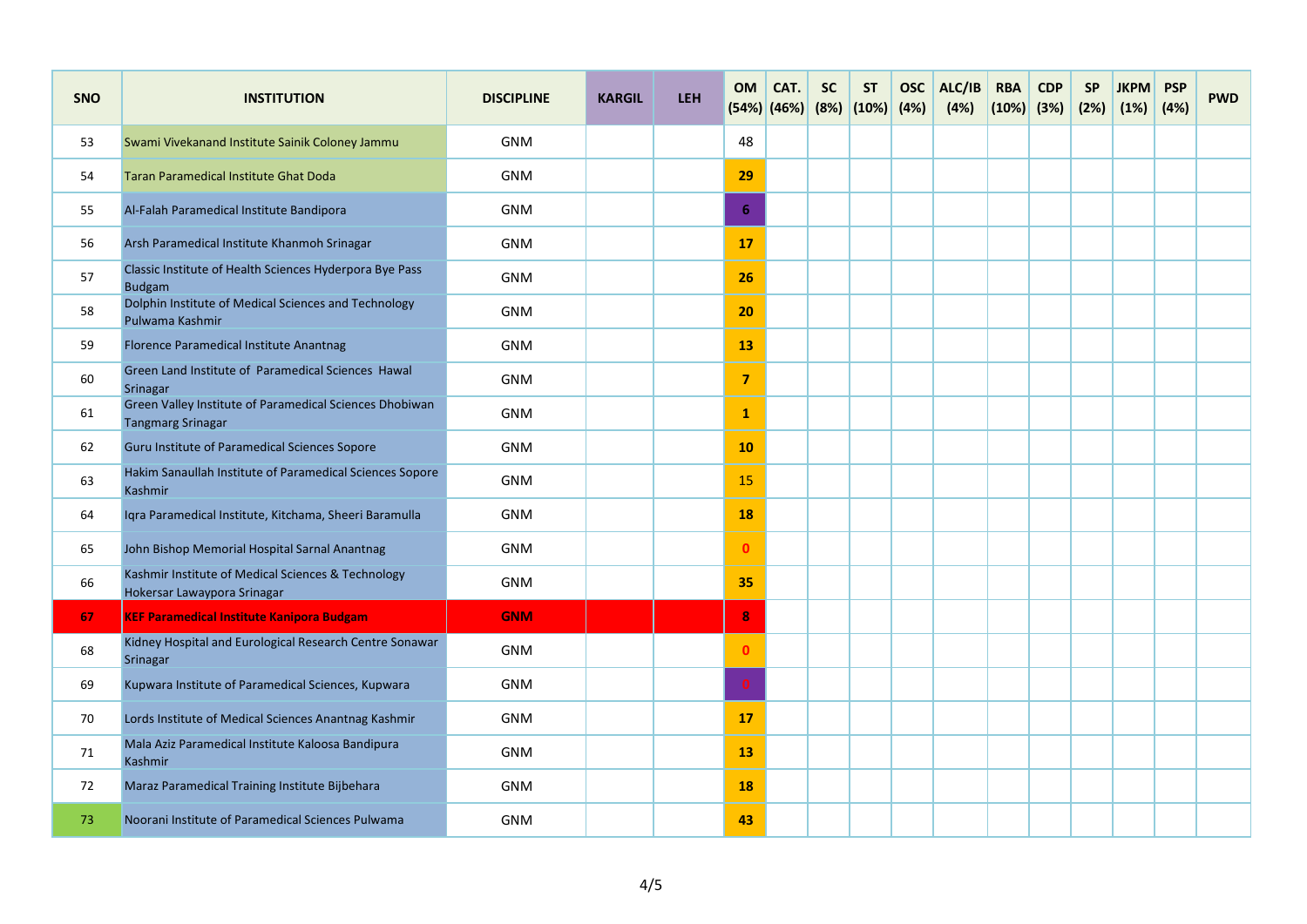| <b>SNO</b> | <b>INSTITUTION</b>                                                                  | <b>DISCIPLINE</b> | <b>KARGIL</b> | <b>LEH</b> | <b>OM</b>      | CAT.<br>$(54%)$ (46%) | <b>SC</b><br>(8%) | <b>ST</b><br>(10%) | <b>OSC</b><br>(4%) | ALC/IB<br>(4%) | <b>RBA</b><br>(10%) | <b>CDP</b><br>(3%) | <b>SP</b><br>(2%) | <b>JKPM</b><br>(1%) | <b>PSP</b><br>(4%) | <b>PWD</b> |
|------------|-------------------------------------------------------------------------------------|-------------------|---------------|------------|----------------|-----------------------|-------------------|--------------------|--------------------|----------------|---------------------|--------------------|-------------------|---------------------|--------------------|------------|
| 53         | Swami Vivekanand Institute Sainik Coloney Jammu                                     | <b>GNM</b>        |               |            | 48             |                       |                   |                    |                    |                |                     |                    |                   |                     |                    |            |
| 54         | Taran Paramedical Institute Ghat Doda                                               | <b>GNM</b>        |               |            | 29             |                       |                   |                    |                    |                |                     |                    |                   |                     |                    |            |
| 55         | Al-Falah Paramedical Institute Bandipora                                            | <b>GNM</b>        |               |            | 6              |                       |                   |                    |                    |                |                     |                    |                   |                     |                    |            |
| 56         | Arsh Paramedical Institute Khanmoh Srinagar                                         | <b>GNM</b>        |               |            | 17             |                       |                   |                    |                    |                |                     |                    |                   |                     |                    |            |
| 57         | Classic Institute of Health Sciences Hyderpora Bye Pass<br><b>Budgam</b>            | <b>GNM</b>        |               |            | <b>26</b>      |                       |                   |                    |                    |                |                     |                    |                   |                     |                    |            |
| 58         | Dolphin Institute of Medical Sciences and Technology<br>Pulwama Kashmir             | <b>GNM</b>        |               |            | 20             |                       |                   |                    |                    |                |                     |                    |                   |                     |                    |            |
| 59         | Florence Paramedical Institute Anantnag                                             | <b>GNM</b>        |               |            | 13             |                       |                   |                    |                    |                |                     |                    |                   |                     |                    |            |
| 60         | Green Land Institute of Paramedical Sciences Hawal<br>Srinagar                      | <b>GNM</b>        |               |            | $\overline{7}$ |                       |                   |                    |                    |                |                     |                    |                   |                     |                    |            |
| 61         | Green Valley Institute of Paramedical Sciences Dhobiwan<br><b>Tangmarg Srinagar</b> | GNM               |               |            | $\mathbf{1}$   |                       |                   |                    |                    |                |                     |                    |                   |                     |                    |            |
| 62         | Guru Institute of Paramedical Sciences Sopore                                       | <b>GNM</b>        |               |            | 10             |                       |                   |                    |                    |                |                     |                    |                   |                     |                    |            |
| 63         | Hakim Sanaullah Institute of Paramedical Sciences Sopore<br>Kashmir                 | <b>GNM</b>        |               |            | 15             |                       |                   |                    |                    |                |                     |                    |                   |                     |                    |            |
| 64         | Iqra Paramedical Institute, Kitchama, Sheeri Baramulla                              | <b>GNM</b>        |               |            | <b>18</b>      |                       |                   |                    |                    |                |                     |                    |                   |                     |                    |            |
| 65         | John Bishop Memorial Hospital Sarnal Anantnag                                       | <b>GNM</b>        |               |            | $\mathbf{0}$   |                       |                   |                    |                    |                |                     |                    |                   |                     |                    |            |
| 66         | Kashmir Institute of Medical Sciences & Technology<br>Hokersar Lawaypora Srinagar   | <b>GNM</b>        |               |            | 35             |                       |                   |                    |                    |                |                     |                    |                   |                     |                    |            |
| 67         | <b>KEF Paramedical Institute Kanipora Budgam</b>                                    | <b>GNM</b>        |               |            | $\bf{8}$       |                       |                   |                    |                    |                |                     |                    |                   |                     |                    |            |
| 68         | Kidney Hospital and Eurological Research Centre Sonawar<br><b>Srinagar</b>          | <b>GNM</b>        |               |            | $\mathbf{0}$   |                       |                   |                    |                    |                |                     |                    |                   |                     |                    |            |
| 69         | Kupwara Institute of Paramedical Sciences, Kupwara                                  | <b>GNM</b>        |               |            | $\mathbf{0}$   |                       |                   |                    |                    |                |                     |                    |                   |                     |                    |            |
| 70         | Lords Institute of Medical Sciences Anantnag Kashmir                                | <b>GNM</b>        |               |            | 17             |                       |                   |                    |                    |                |                     |                    |                   |                     |                    |            |
| 71         | Mala Aziz Paramedical Institute Kaloosa Bandipura<br>Kashmir                        | <b>GNM</b>        |               |            | 13             |                       |                   |                    |                    |                |                     |                    |                   |                     |                    |            |
| 72         | Maraz Paramedical Training Institute Bijbehara                                      | <b>GNM</b>        |               |            | <b>18</b>      |                       |                   |                    |                    |                |                     |                    |                   |                     |                    |            |
| 73         | Noorani Institute of Paramedical Sciences Pulwama                                   | <b>GNM</b>        |               |            | 43             |                       |                   |                    |                    |                |                     |                    |                   |                     |                    |            |